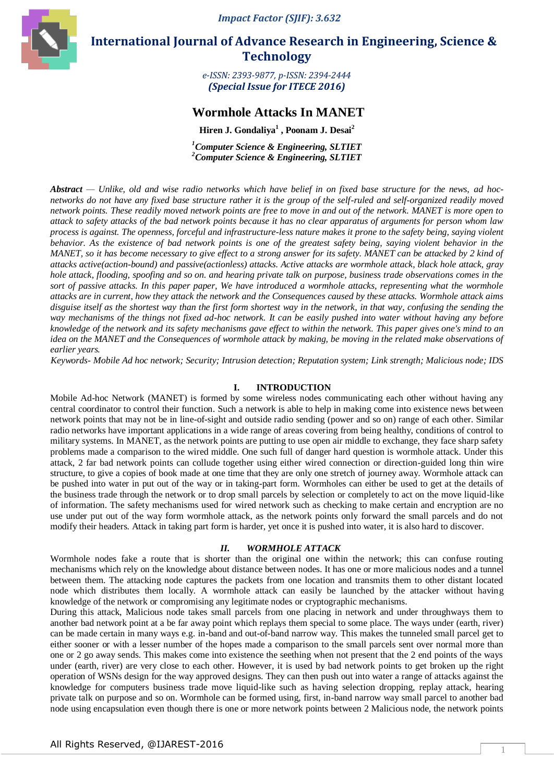*Impact Factor (SJIF): 3.632*



 **International Journal of Advance Research in Engineering, Science & Technology** 

> *e-ISSN: 2393-9877, p-ISSN: 2394-2444 (Special Issue for ITECE 2016)*

# **Wormhole Attacks In MANET**

**Hiren J. Gondaliya<sup>1</sup> , Poonam J. Desai<sup>2</sup>**

*<sup>1</sup>Computer Science & Engineering, SLTIET <sup>2</sup>Computer Science & Engineering, SLTIET*

*Abstract — Unlike, old and wise radio networks which have belief in on fixed base structure for the news, ad hocnetworks do not have any fixed base structure rather it is the group of the self-ruled and self-organized readily moved network points. These readily moved network points are free to move in and out of the network. MANET is more open to attack to safety attacks of the bad network points because it has no clear apparatus of arguments for person whom law process is against. The openness, forceful and infrastructure-less nature makes it prone to the safety being, saying violent behavior. As the existence of bad network points is one of the greatest safety being, saying violent behavior in the MANET, so it has become necessary to give effect to a strong answer for its safety. MANET can be attacked by 2 kind of attacks active(action-bound) and passive(actionless) attacks. Active attacks are wormhole attack, black hole attack, gray hole attack, flooding, spoofing and so on. and hearing private talk on purpose, business trade observations comes in the sort of passive attacks. In this paper paper, We have introduced a wormhole attacks, representing what the wormhole attacks are in current, how they attack the network and the Consequences caused by these attacks. Wormhole attack aims disguise itself as the shortest way than the first form shortest way in the network, in that way, confusing the sending the way mechanisms of the things not fixed ad-hoc network. It can be easily pushed into water without having any before knowledge of the network and its safety mechanisms gave effect to within the network. This paper gives one's mind to an idea on the MANET and the Consequences of wormhole attack by making, be moving in the related make observations of earlier years.*

*Keywords- Mobile Ad hoc network; Security; Intrusion detection; Reputation system; Link strength; Malicious node; IDS*

# **I. INTRODUCTION**

Mobile Ad-hoc Network (MANET) is formed by some wireless nodes communicating each other without having any central coordinator to control their function. Such a network is able to help in making come into existence news between network points that may not be in line-of-sight and outside radio sending (power and so on) range of each other. Similar radio networks have important applications in a wide range of areas covering from being healthy, conditions of control to military systems. In MANET, as the network points are putting to use open air middle to exchange, they face sharp safety problems made a comparison to the wired middle. One such full of danger hard question is wormhole attack. Under this attack, 2 far bad network points can collude together using either wired connection or direction-guided long thin wire structure, to give a copies of book made at one time that they are only one stretch of journey away. Wormhole attack can be pushed into water in put out of the way or in taking-part form. Wormholes can either be used to get at the details of the business trade through the network or to drop small parcels by selection or completely to act on the move liquid-like of information. The safety mechanisms used for wired network such as checking to make certain and encryption are no use under put out of the way form wormhole attack, as the network points only forward the small parcels and do not modify their headers. Attack in taking part form is harder, yet once it is pushed into water, it is also hard to discover.

### *II. WORMHOLE ATTACK*

Wormhole nodes fake a route that is shorter than the original one within the network; this can confuse routing mechanisms which rely on the knowledge about distance between nodes. It has one or more malicious nodes and a tunnel between them. The attacking node captures the packets from one location and transmits them to other distant located node which distributes them locally. A wormhole attack can easily be launched by the attacker without having knowledge of the network or compromising any legitimate nodes or cryptographic mechanisms.

During this attack, Malicious node takes small parcels from one placing in network and under throughways them to another bad network point at a be far away point which replays them special to some place. The ways under (earth, river) can be made certain in many ways e.g. in-band and out-of-band narrow way. This makes the tunneled small parcel get to either sooner or with a lesser number of the hopes made a comparison to the small parcels sent over normal more than one or 2 go away sends. This makes come into existence the seething when not present that the 2 end points of the ways under (earth, river) are very close to each other. However, it is used by bad network points to get broken up the right operation of WSNs design for the way approved designs. They can then push out into water a range of attacks against the knowledge for computers business trade move liquid-like such as having selection dropping, replay attack, hearing private talk on purpose and so on. Wormhole can be formed using, first, in-band narrow way small parcel to another bad node using encapsulation even though there is one or more network points between 2 Malicious node, the network points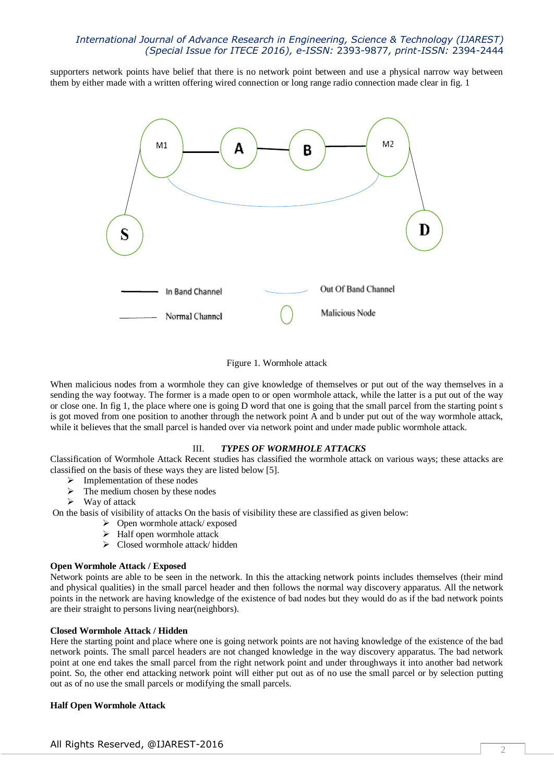# *International Journal of Advance Research in Engineering, Science & Technology (IJAREST) (Special Issue for ITECE 2016), e-ISSN:* 2393-9877*, print-ISSN:* 2394-2444

supporters network points have belief that there is no network point between and use a physical narrow way between them by either made with a written offering wired connection or long range radio connection made clear in fig. 1



### Figure 1. Wormhole attack

When malicious nodes from a wormhole they can give knowledge of themselves or put out of the way themselves in a sending the way footway. The former is a made open to or open wormhole attack, while the latter is a put out of the way or close one. In fig 1, the place where one is going D word that one is going that the small parcel from the starting point s is got moved from one position to another through the network point A and b under put out of the way wormhole attack, while it believes that the small parcel is handed over via network point and under made public wormhole attack.

#### III. *TYPES OF WORMHOLE ATTACKS*

Classification of Wormhole Attack Recent studies has classified the wormhole attack on various ways; these attacks are classified on the basis of these ways they are listed below [5].

- $\triangleright$  Implementation of these nodes
- $\triangleright$  The medium chosen by these nodes
- $\triangleright$  Way of attack

On the basis of visibility of attacks On the basis of visibility these are classified as given below:

- Open wormhole attack/ exposed
- $\triangleright$  Half open wormhole attack
- Closed wormhole attack/ hidden

#### **Open Wormhole Attack / Exposed**

Network points are able to be seen in the network. In this the attacking network points includes themselves (their mind and physical qualities) in the small parcel header and then follows the normal way discovery apparatus. All the network points in the network are having knowledge of the existence of bad nodes but they would do as if the bad network points are their straight to persons living near(neighbors).

#### **Closed Wormhole Attack / Hidden**

Here the starting point and place where one is going network points are not having knowledge of the existence of the bad network points. The small parcel headers are not changed knowledge in the way discovery apparatus. The bad network point at one end takes the small parcel from the right network point and under throughways it into another bad network point. So, the other end attacking network point will either put out as of no use the small parcel or by selection putting out as of no use the small parcels or modifying the small parcels.

#### **Half Open Wormhole Attack**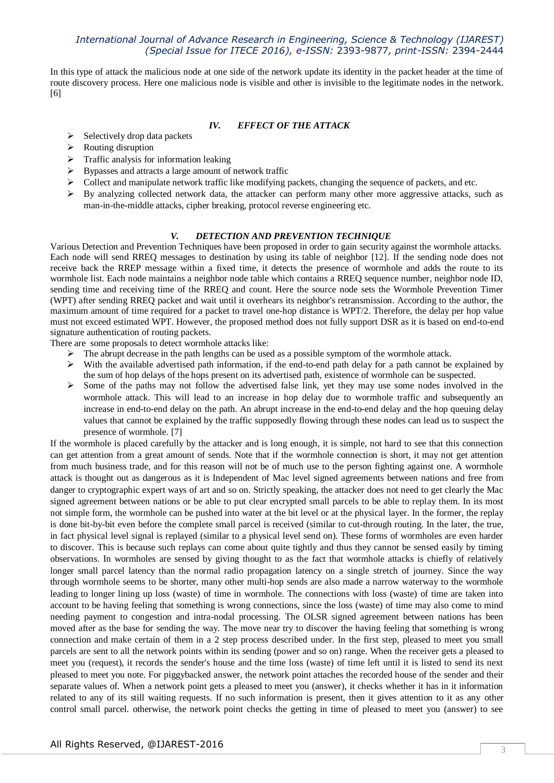# *International Journal of Advance Research in Engineering, Science & Technology (IJAREST) (Special Issue for ITECE 2016), e-ISSN:* 2393-9877*, print-ISSN:* 2394-2444

In this type of attack the malicious node at one side of the network update its identity in the packet header at the time of route discovery process. Here one malicious node is visible and other is invisible to the legitimate nodes in the network. [6]

# *IV. EFFECT OF THE ATTACK*

- $\triangleright$  Selectively drop data packets
- $\triangleright$  Routing disruption
- $\triangleright$  Traffic analysis for information leaking
- Bypasses and attracts a large amount of network traffic
- $\triangleright$  Collect and manipulate network traffic like modifying packets, changing the sequence of packets, and etc.
- By analyzing collected network data, the attacker can perform many other more aggressive attacks, such as man-in-the-middle attacks, cipher breaking, protocol reverse engineering etc.

# *V. DETECTION AND PREVENTION TECHNIQUE*

Various Detection and Prevention Techniques have been proposed in order to gain security against the wormhole attacks. Each node will send RREQ messages to destination by using its table of neighbor [12]. If the sending node does not receive back the RREP message within a fixed time, it detects the presence of wormhole and adds the route to its wormhole list. Each node maintains a neighbor node table which contains a RREQ sequence number, neighbor node ID, sending time and receiving time of the RREQ and count. Here the source node sets the Wormhole Prevention Timer (WPT) after sending RREQ packet and wait until it overhears its neighbor's retransmission. According to the author, the maximum amount of time required for a packet to travel one-hop distance is WPT/2. Therefore, the delay per hop value must not exceed estimated WPT. However, the proposed method does not fully support DSR as it is based on end-to-end signature authentication of routing packets.

There are some proposals to detect wormhole attacks like:

- $\triangleright$  The abrupt decrease in the path lengths can be used as a possible symptom of the wormhole attack.
- $\triangleright$  With the available advertised path information, if the end-to-end path delay for a path cannot be explained by the sum of hop delays of the hops present on its advertised path, existence of wormhole can be suspected.
- $\triangleright$  Some of the paths may not follow the advertised false link, yet they may use some nodes involved in the wormhole attack. This will lead to an increase in hop delay due to wormhole traffic and subsequently an increase in end-to-end delay on the path. An abrupt increase in the end-to-end delay and the hop queuing delay values that cannot be explained by the traffic supposedly flowing through these nodes can lead us to suspect the presence of wormhole. [7]

If the wormhole is placed carefully by the attacker and is long enough, it is simple, not hard to see that this connection can get attention from a great amount of sends. Note that if the wormhole connection is short, it may not get attention from much business trade, and for this reason will not be of much use to the person fighting against one. A wormhole attack is thought out as dangerous as it is Independent of Mac level signed agreements between nations and free from danger to cryptographic expert ways of art and so on. Strictly speaking, the attacker does not need to get clearly the Mac signed agreement between nations or be able to put clear encrypted small parcels to be able to replay them. In its most not simple form, the wormhole can be pushed into water at the bit level or at the physical layer. In the former, the replay is done bit-by-bit even before the complete small parcel is received (similar to cut-through routing. In the later, the true, in fact physical level signal is replayed (similar to a physical level send on). These forms of wormholes are even harder to discover. This is because such replays can come about quite tightly and thus they cannot be sensed easily by timing observations. In wormholes are sensed by giving thought to as the fact that wormhole attacks is chiefly of relatively longer small parcel latency than the normal radio propagation latency on a single stretch of journey. Since the way through wormhole seems to be shorter, many other multi-hop sends are also made a narrow waterway to the wormhole leading to longer lining up loss (waste) of time in wormhole. The connections with loss (waste) of time are taken into account to be having feeling that something is wrong connections, since the loss (waste) of time may also come to mind needing payment to congestion and intra-nodal processing. The OLSR signed agreement between nations has been moved after as the base for sending the way. The move near try to discover the having feeling that something is wrong connection and make certain of them in a 2 step process described under. In the first step, pleased to meet you small parcels are sent to all the network points within its sending (power and so on) range. When the receiver gets a pleased to meet you (request), it records the sender's house and the time loss (waste) of time left until it is listed to send its next pleased to meet you note. For piggybacked answer, the network point attaches the recorded house of the sender and their separate values of. When a network point gets a pleased to meet you (answer), it checks whether it has in it information related to any of its still waiting requests. If no such information is present, then it gives attention to it as any other control small parcel. otherwise, the network point checks the getting in time of pleased to meet you (answer) to see